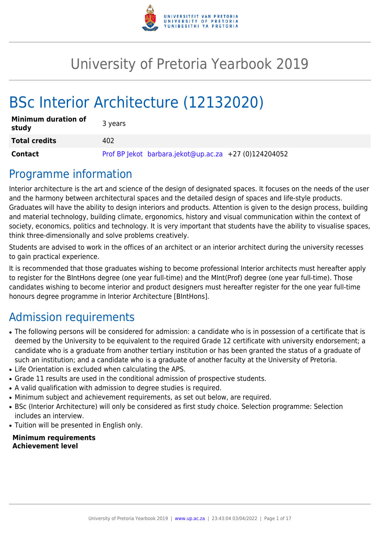

# University of Pretoria Yearbook 2019

# BSc Interior Architecture (12132020)

| <b>Minimum duration of</b><br>study | 3 years                                               |
|-------------------------------------|-------------------------------------------------------|
| <b>Total credits</b>                | 402                                                   |
| Contact                             | Prof BP Jekot barbara.jekot@up.ac.za +27 (0)124204052 |

# Programme information

Interior architecture is the art and science of the design of designated spaces. It focuses on the needs of the user and the harmony between architectural spaces and the detailed design of spaces and life-style products. Graduates will have the ability to design interiors and products. Attention is given to the design process, building and material technology, building climate, ergonomics, history and visual communication within the context of society, economics, politics and technology. It is very important that students have the ability to visualise spaces, think three-dimensionally and solve problems creatively.

Students are advised to work in the offices of an architect or an interior architect during the university recesses to gain practical experience.

It is recommended that those graduates wishing to become professional Interior architects must hereafter apply to register for the BIntHons degree (one year full-time) and the MInt(Prof) degree (one year full-time). Those candidates wishing to become interior and product designers must hereafter register for the one year full-time honours degree programme in Interior Architecture [BIntHons].

# Admission requirements

- The following persons will be considered for admission: a candidate who is in possession of a certificate that is deemed by the University to be equivalent to the required Grade 12 certificate with university endorsement; a candidate who is a graduate from another tertiary institution or has been granted the status of a graduate of such an institution; and a candidate who is a graduate of another faculty at the University of Pretoria.
- Life Orientation is excluded when calculating the APS.
- Grade 11 results are used in the conditional admission of prospective students.
- A valid qualification with admission to degree studies is required.
- Minimum subject and achievement requirements, as set out below, are required.
- BSc (Interior Architecture) will only be considered as first study choice. Selection programme: Selection includes an interview.
- Tuition will be presented in English only.

#### **Minimum requirements Achievement level**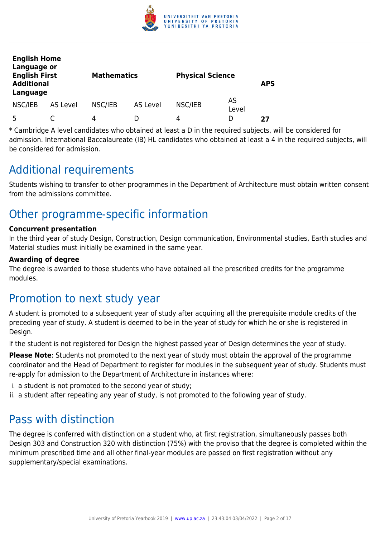

| <b>English Home</b><br>Language or<br><b>English First</b><br><b>Additional</b><br>Language |          | <b>Mathematics</b> |                 | <b>Physical Science</b> |             | <b>APS</b> |
|---------------------------------------------------------------------------------------------|----------|--------------------|-----------------|-------------------------|-------------|------------|
| NSC/IEB                                                                                     | AS Level | NSC/IEB            | <b>AS Level</b> | NSC/IEB                 | AS<br>Level |            |
| Б.                                                                                          |          | 4                  |                 | 4                       | I)          | 27         |

\* Cambridge A level candidates who obtained at least a D in the required subjects, will be considered for admission. International Baccalaureate (IB) HL candidates who obtained at least a 4 in the required subjects, will be considered for admission.

# Additional requirements

Students wishing to transfer to other programmes in the Department of Architecture must obtain written consent from the admissions committee.

# Other programme-specific information

#### **Concurrent presentation**

In the third year of study Design, Construction, Design communication, Environmental studies, Earth studies and Material studies must initially be examined in the same year.

#### **Awarding of degree**

The degree is awarded to those students who have obtained all the prescribed credits for the programme modules.

# Promotion to next study year

A student is promoted to a subsequent year of study after acquiring all the prerequisite module credits of the preceding year of study. A student is deemed to be in the year of study for which he or she is registered in Design.

If the student is not registered for Design the highest passed year of Design determines the year of study.

**Please Note**: Students not promoted to the next year of study must obtain the approval of the programme coordinator and the Head of Department to register for modules in the subsequent year of study. Students must re-apply for admission to the Department of Architecture in instances where:

- i. a student is not promoted to the second year of study;
- ii. a student after repeating any year of study, is not promoted to the following year of study.

# Pass with distinction

The degree is conferred with distinction on a student who, at first registration, simultaneously passes both Design 303 and Construction 320 with distinction (75%) with the proviso that the degree is completed within the minimum prescribed time and all other final-year modules are passed on first registration without any supplementary/special examinations.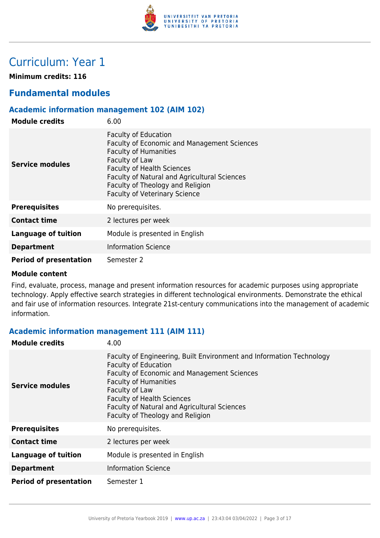

# Curriculum: Year 1

**Minimum credits: 116**

# **Fundamental modules**

### **Academic information management 102 (AIM 102)**

| <b>Module credits</b>         | 6.00                                                                                                                                                                                                                                                                                                 |
|-------------------------------|------------------------------------------------------------------------------------------------------------------------------------------------------------------------------------------------------------------------------------------------------------------------------------------------------|
| <b>Service modules</b>        | <b>Faculty of Education</b><br><b>Faculty of Economic and Management Sciences</b><br><b>Faculty of Humanities</b><br>Faculty of Law<br><b>Faculty of Health Sciences</b><br>Faculty of Natural and Agricultural Sciences<br>Faculty of Theology and Religion<br><b>Faculty of Veterinary Science</b> |
| <b>Prerequisites</b>          | No prerequisites.                                                                                                                                                                                                                                                                                    |
| <b>Contact time</b>           | 2 lectures per week                                                                                                                                                                                                                                                                                  |
| <b>Language of tuition</b>    | Module is presented in English                                                                                                                                                                                                                                                                       |
| <b>Department</b>             | <b>Information Science</b>                                                                                                                                                                                                                                                                           |
| <b>Period of presentation</b> | Semester 2                                                                                                                                                                                                                                                                                           |

#### **Module content**

Find, evaluate, process, manage and present information resources for academic purposes using appropriate technology. Apply effective search strategies in different technological environments. Demonstrate the ethical and fair use of information resources. Integrate 21st-century communications into the management of academic information.

# **Academic information management 111 (AIM 111)**

| <b>Module credits</b>         | 4.00                                                                                                                                                                                                                                                                                                                                 |
|-------------------------------|--------------------------------------------------------------------------------------------------------------------------------------------------------------------------------------------------------------------------------------------------------------------------------------------------------------------------------------|
| Service modules               | Faculty of Engineering, Built Environment and Information Technology<br><b>Faculty of Education</b><br><b>Faculty of Economic and Management Sciences</b><br><b>Faculty of Humanities</b><br>Faculty of Law<br><b>Faculty of Health Sciences</b><br>Faculty of Natural and Agricultural Sciences<br>Faculty of Theology and Religion |
| <b>Prerequisites</b>          | No prerequisites.                                                                                                                                                                                                                                                                                                                    |
| <b>Contact time</b>           | 2 lectures per week                                                                                                                                                                                                                                                                                                                  |
| <b>Language of tuition</b>    | Module is presented in English                                                                                                                                                                                                                                                                                                       |
| <b>Department</b>             | <b>Information Science</b>                                                                                                                                                                                                                                                                                                           |
| <b>Period of presentation</b> | Semester 1                                                                                                                                                                                                                                                                                                                           |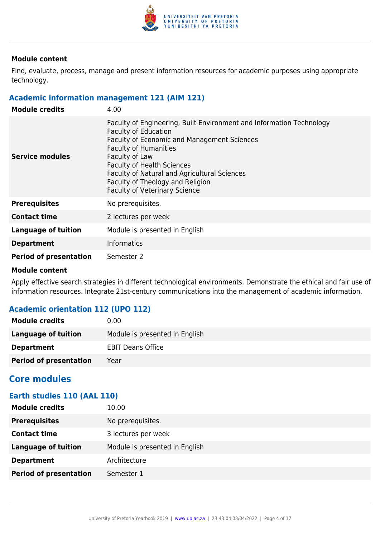

Find, evaluate, process, manage and present information resources for academic purposes using appropriate technology.

#### **Academic information management 121 (AIM 121)**

| <b>Module credits</b>         | 4.00                                                                                                                                                                                                                                                                                                                                                                  |
|-------------------------------|-----------------------------------------------------------------------------------------------------------------------------------------------------------------------------------------------------------------------------------------------------------------------------------------------------------------------------------------------------------------------|
| Service modules               | Faculty of Engineering, Built Environment and Information Technology<br><b>Faculty of Education</b><br>Faculty of Economic and Management Sciences<br><b>Faculty of Humanities</b><br>Faculty of Law<br><b>Faculty of Health Sciences</b><br>Faculty of Natural and Agricultural Sciences<br>Faculty of Theology and Religion<br><b>Faculty of Veterinary Science</b> |
| <b>Prerequisites</b>          | No prerequisites.                                                                                                                                                                                                                                                                                                                                                     |
| <b>Contact time</b>           | 2 lectures per week                                                                                                                                                                                                                                                                                                                                                   |
| Language of tuition           | Module is presented in English                                                                                                                                                                                                                                                                                                                                        |
| <b>Department</b>             | <b>Informatics</b>                                                                                                                                                                                                                                                                                                                                                    |
| <b>Period of presentation</b> | Semester 2                                                                                                                                                                                                                                                                                                                                                            |

#### **Module content**

Apply effective search strategies in different technological environments. Demonstrate the ethical and fair use of information resources. Integrate 21st-century communications into the management of academic information.

# **Academic orientation 112 (UPO 112)**

| <b>Module credits</b>         | 0.00                           |
|-------------------------------|--------------------------------|
| Language of tuition           | Module is presented in English |
| <b>Department</b>             | <b>EBIT Deans Office</b>       |
| <b>Period of presentation</b> | Year                           |

# **Core modules**

# **Earth studies 110 (AAL 110)**

| <b>Module credits</b>         | 10.00                          |
|-------------------------------|--------------------------------|
| <b>Prerequisites</b>          | No prerequisites.              |
| <b>Contact time</b>           | 3 lectures per week            |
| <b>Language of tuition</b>    | Module is presented in English |
| <b>Department</b>             | Architecture                   |
| <b>Period of presentation</b> | Semester 1                     |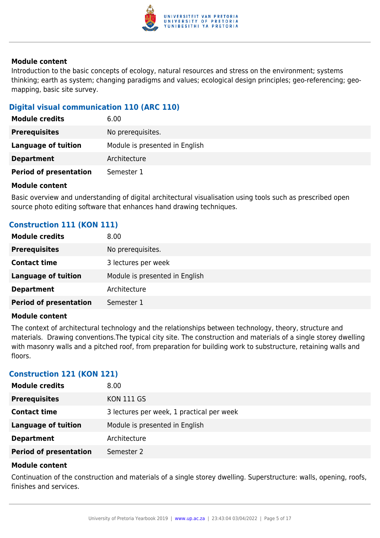

Introduction to the basic concepts of ecology, natural resources and stress on the environment; systems thinking; earth as system; changing paradigms and values; ecological design principles; geo-referencing; geomapping, basic site survey.

# **Digital visual communication 110 (ARC 110)**

| 6.00                           |
|--------------------------------|
| No prerequisites.              |
| Module is presented in English |
| Architecture                   |
| Semester 1                     |
|                                |

#### **Module content**

Basic overview and understanding of digital architectural visualisation using tools such as prescribed open source photo editing software that enhances hand drawing techniques.

# **Construction 111 (KON 111)**

| <b>Module credits</b>         | 8.00                           |
|-------------------------------|--------------------------------|
| <b>Prerequisites</b>          | No prerequisites.              |
| <b>Contact time</b>           | 3 lectures per week            |
| <b>Language of tuition</b>    | Module is presented in English |
| <b>Department</b>             | Architecture                   |
| <b>Period of presentation</b> | Semester 1                     |

#### **Module content**

The context of architectural technology and the relationships between technology, theory, structure and materials. Drawing conventions.The typical city site. The construction and materials of a single storey dwelling with masonry walls and a pitched roof, from preparation for building work to substructure, retaining walls and floors.

#### **Construction 121 (KON 121)**

| <b>Module credits</b>         | 8.00 <sub>1</sub>                         |
|-------------------------------|-------------------------------------------|
| <b>Prerequisites</b>          | <b>KON 111 GS</b>                         |
| <b>Contact time</b>           | 3 lectures per week, 1 practical per week |
| <b>Language of tuition</b>    | Module is presented in English            |
| <b>Department</b>             | Architecture                              |
| <b>Period of presentation</b> | Semester 2                                |

#### **Module content**

Continuation of the construction and materials of a single storey dwelling. Superstructure: walls, opening, roofs, finishes and services.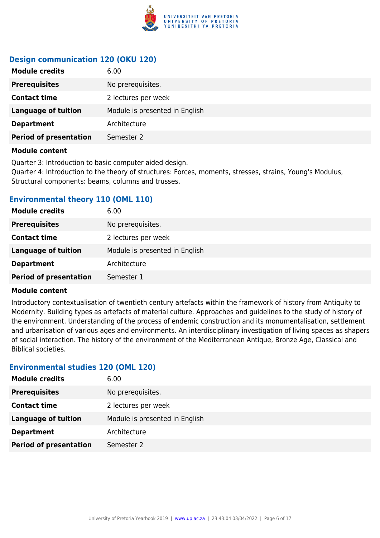

### **Design communication 120 (OKU 120)**

| 6.00                           |
|--------------------------------|
| No prerequisites.              |
| 2 lectures per week            |
| Module is presented in English |
| Architecture                   |
| Semester 2                     |
|                                |

#### **Module content**

Quarter 3: Introduction to basic computer aided design. Quarter 4: Introduction to the theory of structures: Forces, moments, stresses, strains, Young's Modulus, Structural components: beams, columns and trusses.

#### **Environmental theory 110 (OML 110)**

| <b>Module credits</b>         | 6.00                           |
|-------------------------------|--------------------------------|
| <b>Prerequisites</b>          | No prerequisites.              |
| <b>Contact time</b>           | 2 lectures per week            |
| <b>Language of tuition</b>    | Module is presented in English |
| <b>Department</b>             | Architecture                   |
| <b>Period of presentation</b> | Semester 1                     |

#### **Module content**

Introductory contextualisation of twentieth century artefacts within the framework of history from Antiquity to Modernity. Building types as artefacts of material culture. Approaches and guidelines to the study of history of the environment. Understanding of the process of endemic construction and its monumentalisation, settlement and urbanisation of various ages and environments. An interdisciplinary investigation of living spaces as shapers of social interaction. The history of the environment of the Mediterranean Antique, Bronze Age, Classical and Biblical societies.

#### **Environmental studies 120 (OML 120)**

| <b>Module credits</b>         | 6.00                           |
|-------------------------------|--------------------------------|
| <b>Prerequisites</b>          | No prerequisites.              |
| <b>Contact time</b>           | 2 lectures per week            |
| <b>Language of tuition</b>    | Module is presented in English |
| <b>Department</b>             | Architecture                   |
| <b>Period of presentation</b> | Semester 2                     |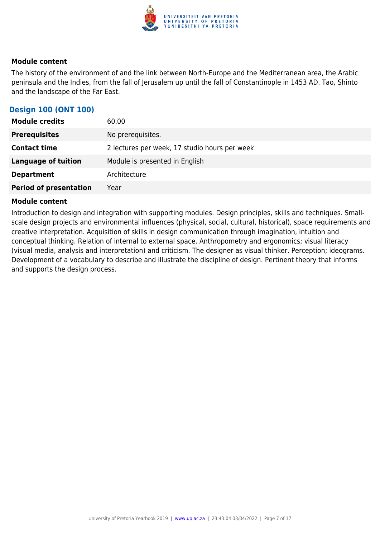

The history of the environment of and the link between North-Europe and the Mediterranean area, the Arabic peninsula and the Indies, from the fall of Jerusalem up until the fall of Constantinople in 1453 AD. Tao, Shinto and the landscape of the Far East.

# **Design 100 (ONT 100)**

| <b>Module credits</b>         | 60.00                                         |
|-------------------------------|-----------------------------------------------|
| <b>Prerequisites</b>          | No prerequisites.                             |
| <b>Contact time</b>           | 2 lectures per week, 17 studio hours per week |
| <b>Language of tuition</b>    | Module is presented in English                |
| <b>Department</b>             | Architecture                                  |
| <b>Period of presentation</b> | Year                                          |

#### **Module content**

Introduction to design and integration with supporting modules. Design principles, skills and techniques. Smallscale design projects and environmental influences (physical, social, cultural, historical), space requirements and creative interpretation. Acquisition of skills in design communication through imagination, intuition and conceptual thinking. Relation of internal to external space. Anthropometry and ergonomics; visual literacy (visual media, analysis and interpretation) and criticism. The designer as visual thinker. Perception; ideograms. Development of a vocabulary to describe and illustrate the discipline of design. Pertinent theory that informs and supports the design process.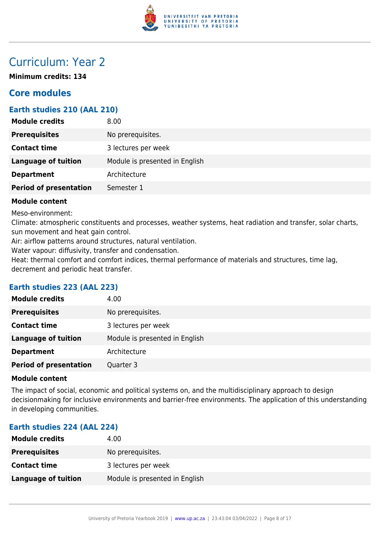

# Curriculum: Year 2

**Minimum credits: 134**

# **Core modules**

# **Earth studies 210 (AAL 210)**

| <b>Module credits</b>         | 8.00                           |
|-------------------------------|--------------------------------|
| <b>Prerequisites</b>          | No prerequisites.              |
| <b>Contact time</b>           | 3 lectures per week            |
| <b>Language of tuition</b>    | Module is presented in English |
| <b>Department</b>             | Architecture                   |
| <b>Period of presentation</b> | Semester 1                     |
|                               |                                |

#### **Module content**

Meso-environment:

Climate: atmospheric constituents and processes, weather systems, heat radiation and transfer, solar charts, sun movement and heat gain control.

Air: airflow patterns around structures, natural ventilation.

Water vapour: diffusivity, transfer and condensation.

Heat: thermal comfort and comfort indices, thermal performance of materials and structures, time lag, decrement and periodic heat transfer.

# **Earth studies 223 (AAL 223)**

| <b>Module credits</b>         | 4.00                           |
|-------------------------------|--------------------------------|
| <b>Prerequisites</b>          | No prerequisites.              |
| <b>Contact time</b>           | 3 lectures per week            |
| <b>Language of tuition</b>    | Module is presented in English |
| <b>Department</b>             | Architecture                   |
| <b>Period of presentation</b> | Quarter 3                      |

#### **Module content**

The impact of social, economic and political systems on, and the multidisciplinary approach to design decisionmaking for inclusive environments and barrier-free environments. The application of this understanding in developing communities.

# **Earth studies 224 (AAL 224)**

| <b>Module credits</b> | 4.00                           |
|-----------------------|--------------------------------|
| <b>Prerequisites</b>  | No prerequisites.              |
| <b>Contact time</b>   | 3 lectures per week            |
| Language of tuition   | Module is presented in English |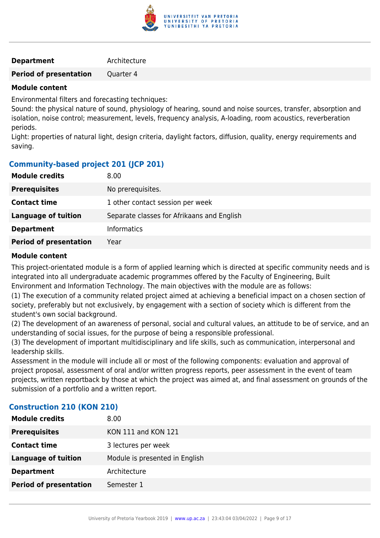

#### **Department** Architecture

**Period of presentation** Quarter 4

#### **Module content**

Environmental filters and forecasting techniques:

Sound: the physical nature of sound, physiology of hearing, sound and noise sources, transfer, absorption and isolation, noise control; measurement, levels, frequency analysis, A-loading, room acoustics, reverberation periods.

Light: properties of natural light, design criteria, daylight factors, diffusion, quality, energy requirements and saving.

# **Community-based project 201 (JCP 201)**

| No prerequisites.<br><b>Prerequisites</b><br>1 other contact session per week<br><b>Contact time</b><br><b>Language of tuition</b><br>Separate classes for Afrikaans and English<br><b>Informatics</b><br><b>Department</b><br><b>Period of presentation</b><br>Year | <b>Module credits</b> | 8.00 |
|----------------------------------------------------------------------------------------------------------------------------------------------------------------------------------------------------------------------------------------------------------------------|-----------------------|------|
|                                                                                                                                                                                                                                                                      |                       |      |
|                                                                                                                                                                                                                                                                      |                       |      |
|                                                                                                                                                                                                                                                                      |                       |      |
|                                                                                                                                                                                                                                                                      |                       |      |
|                                                                                                                                                                                                                                                                      |                       |      |

#### **Module content**

This project-orientated module is a form of applied learning which is directed at specific community needs and is integrated into all undergraduate academic programmes offered by the Faculty of Engineering, Built Environment and Information Technology. The main objectives with the module are as follows:

(1) The execution of a community related project aimed at achieving a beneficial impact on a chosen section of society, preferably but not exclusively, by engagement with a section of society which is different from the student's own social background.

(2) The development of an awareness of personal, social and cultural values, an attitude to be of service, and an understanding of social issues, for the purpose of being a responsible professional.

(3) The development of important multidisciplinary and life skills, such as communication, interpersonal and leadership skills.

Assessment in the module will include all or most of the following components: evaluation and approval of project proposal, assessment of oral and/or written progress reports, peer assessment in the event of team projects, written reportback by those at which the project was aimed at, and final assessment on grounds of the submission of a portfolio and a written report.

# **Construction 210 (KON 210)**

| <b>Module credits</b>         | 8.00                           |
|-------------------------------|--------------------------------|
|                               |                                |
| <b>Prerequisites</b>          | KON 111 and KON 121            |
| <b>Contact time</b>           | 3 lectures per week            |
| <b>Language of tuition</b>    | Module is presented in English |
| <b>Department</b>             | Architecture                   |
| <b>Period of presentation</b> | Semester 1                     |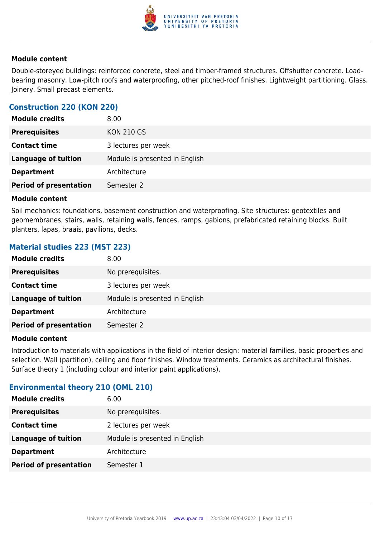

Double-storeyed buildings: reinforced concrete, steel and timber-framed structures. Offshutter concrete. Loadbearing masonry. Low-pitch roofs and waterproofing, other pitched-roof finishes. Lightweight partitioning. Glass. Joinery. Small precast elements.

#### **Construction 220 (KON 220)**

| <b>Prerequisites</b><br><b>KON 210 GS</b><br><b>Contact time</b> | <b>Module credits</b> | 8.00                |
|------------------------------------------------------------------|-----------------------|---------------------|
|                                                                  |                       |                     |
|                                                                  |                       | 3 lectures per week |
| Module is presented in English<br><b>Language of tuition</b>     |                       |                     |
| Architecture<br><b>Department</b>                                |                       |                     |
| <b>Period of presentation</b><br>Semester 2                      |                       |                     |

#### **Module content**

Soil mechanics: foundations, basement construction and waterproofing. Site structures: geotextiles and geomembranes, stairs, walls, retaining walls, fences, ramps, gabions, prefabricated retaining blocks. Built planters, lapas, braais, pavilions, decks.

#### **Material studies 223 (MST 223)**

| <b>Module credits</b>         | 8.00                           |
|-------------------------------|--------------------------------|
| <b>Prerequisites</b>          | No prerequisites.              |
| <b>Contact time</b>           | 3 lectures per week            |
| <b>Language of tuition</b>    | Module is presented in English |
| <b>Department</b>             | Architecture                   |
| <b>Period of presentation</b> | Semester 2                     |

#### **Module content**

Introduction to materials with applications in the field of interior design: material families, basic properties and selection. Wall (partition), ceiling and floor finishes. Window treatments. Ceramics as architectural finishes. Surface theory 1 (including colour and interior paint applications).

#### **Environmental theory 210 (OML 210)**

| <b>Module credits</b>         | 6.00                           |
|-------------------------------|--------------------------------|
| <b>Prerequisites</b>          | No prerequisites.              |
| <b>Contact time</b>           | 2 lectures per week            |
| <b>Language of tuition</b>    | Module is presented in English |
| <b>Department</b>             | Architecture                   |
| <b>Period of presentation</b> | Semester 1                     |
|                               |                                |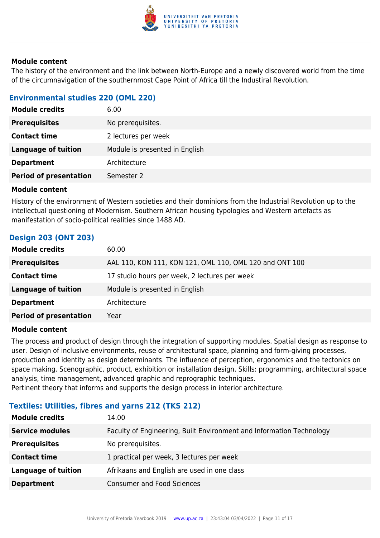

The history of the environment and the link between North-Europe and a newly discovered world from the time of the circumnavigation of the southernmost Cape Point of Africa till the Industiral Revolution.

# **Environmental studies 220 (OML 220)**

| <b>Module credits</b>         | 6.00                           |
|-------------------------------|--------------------------------|
| <b>Prerequisites</b>          | No prerequisites.              |
| <b>Contact time</b>           | 2 lectures per week            |
| <b>Language of tuition</b>    | Module is presented in English |
| <b>Department</b>             | Architecture                   |
| <b>Period of presentation</b> | Semester 2                     |

#### **Module content**

History of the environment of Western societies and their dominions from the Industrial Revolution up to the intellectual questioning of Modernism. Southern African housing typologies and Western artefacts as manifestation of socio-political realities since 1488 AD.

# **Design 203 (ONT 203)**

| <b>Module credits</b>         | 60.00                                                   |
|-------------------------------|---------------------------------------------------------|
| <b>Prerequisites</b>          | AAL 110, KON 111, KON 121, OML 110, OML 120 and ONT 100 |
| <b>Contact time</b>           | 17 studio hours per week, 2 lectures per week           |
| <b>Language of tuition</b>    | Module is presented in English                          |
| <b>Department</b>             | Architecture                                            |
| <b>Period of presentation</b> | Year                                                    |
|                               |                                                         |

#### **Module content**

The process and product of design through the integration of supporting modules. Spatial design as response to user. Design of inclusive environments, reuse of architectural space, planning and form-giving processes, production and identity as design determinants. The influence of perception, ergonomics and the tectonics on space making. Scenographic, product, exhibition or installation design. Skills: programming, architectural space analysis, time management, advanced graphic and reprographic techniques. Pertinent theory that informs and supports the design process in interior architecture.

**Textiles: Utilities, fibres and yarns 212 (TKS 212)**

| <b>Module credits</b>      | 14.00                                                                |
|----------------------------|----------------------------------------------------------------------|
| <b>Service modules</b>     | Faculty of Engineering, Built Environment and Information Technology |
| <b>Prerequisites</b>       | No prerequisites.                                                    |
| <b>Contact time</b>        | 1 practical per week, 3 lectures per week                            |
| <b>Language of tuition</b> | Afrikaans and English are used in one class                          |
| <b>Department</b>          | <b>Consumer and Food Sciences</b>                                    |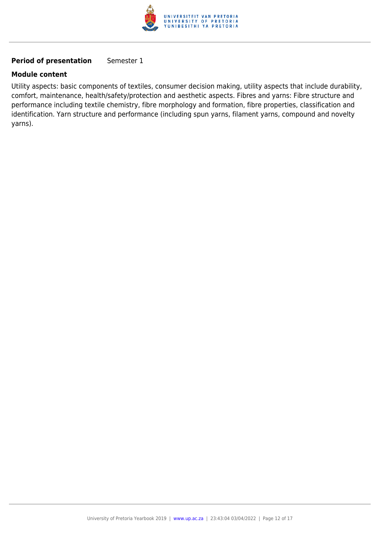

# **Period of presentation** Semester 1

#### **Module content**

Utility aspects: basic components of textiles, consumer decision making, utility aspects that include durability, comfort, maintenance, health/safety/protection and aesthetic aspects. Fibres and yarns: Fibre structure and performance including textile chemistry, fibre morphology and formation, fibre properties, classification and identification. Yarn structure and performance (including spun yarns, filament yarns, compound and novelty yarns).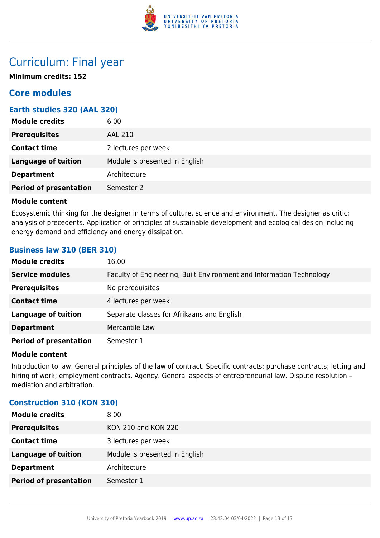

# Curriculum: Final year

**Minimum credits: 152**

# **Core modules**

# **Earth studies 320 (AAL 320)**

| <b>Module credits</b>         | 6.00                           |
|-------------------------------|--------------------------------|
| <b>Prerequisites</b>          | <b>AAL 210</b>                 |
| <b>Contact time</b>           | 2 lectures per week            |
| <b>Language of tuition</b>    | Module is presented in English |
| <b>Department</b>             | Architecture                   |
| <b>Period of presentation</b> | Semester 2                     |

#### **Module content**

Ecosystemic thinking for the designer in terms of culture, science and environment. The designer as critic; analysis of precedents. Application of principles of sustainable development and ecological design including energy demand and efficiency and energy dissipation.

# **Business law 310 (BER 310)**

| <b>Module credits</b>         | 16.00                                                                |
|-------------------------------|----------------------------------------------------------------------|
| <b>Service modules</b>        | Faculty of Engineering, Built Environment and Information Technology |
| <b>Prerequisites</b>          | No prerequisites.                                                    |
| <b>Contact time</b>           | 4 lectures per week                                                  |
| <b>Language of tuition</b>    | Separate classes for Afrikaans and English                           |
| <b>Department</b>             | Mercantile Law                                                       |
| <b>Period of presentation</b> | Semester 1                                                           |

#### **Module content**

Introduction to law. General principles of the law of contract. Specific contracts: purchase contracts; letting and hiring of work; employment contracts. Agency. General aspects of entrepreneurial law. Dispute resolution mediation and arbitration.

#### **Construction 310 (KON 310)**

| <b>Module credits</b>         | 8.00                           |
|-------------------------------|--------------------------------|
| <b>Prerequisites</b>          | KON 210 and KON 220            |
| <b>Contact time</b>           | 3 lectures per week            |
| <b>Language of tuition</b>    | Module is presented in English |
| <b>Department</b>             | Architecture                   |
| <b>Period of presentation</b> | Semester 1                     |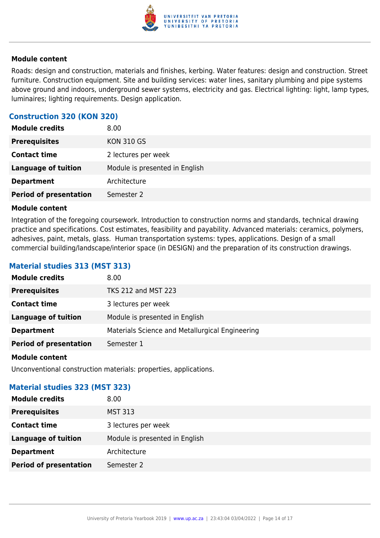

Roads: design and construction, materials and finishes, kerbing. Water features: design and construction. Street furniture. Construction equipment. Site and building services: water lines, sanitary plumbing and pipe systems above ground and indoors, underground sewer systems, electricity and gas. Electrical lighting: light, lamp types, luminaires; lighting requirements. Design application.

# **Construction 320 (KON 320)**

| <b>Module credits</b>         | 8.00                           |
|-------------------------------|--------------------------------|
| <b>Prerequisites</b>          | <b>KON 310 GS</b>              |
| <b>Contact time</b>           | 2 lectures per week            |
| <b>Language of tuition</b>    | Module is presented in English |
| <b>Department</b>             | Architecture                   |
| <b>Period of presentation</b> | Semester 2                     |

#### **Module content**

Integration of the foregoing coursework. Introduction to construction norms and standards, technical drawing practice and specifications. Cost estimates, feasibility and payability. Advanced materials: ceramics, polymers, adhesives, paint, metals, glass. Human transportation systems: types, applications. Design of a small commercial building/landscape/interior space (in DESIGN) and the preparation of its construction drawings.

### **Material studies 313 (MST 313)**

| <b>Module credits</b>         | 8.00                                            |
|-------------------------------|-------------------------------------------------|
| <b>Prerequisites</b>          | <b>TKS 212 and MST 223</b>                      |
| <b>Contact time</b>           | 3 lectures per week                             |
| <b>Language of tuition</b>    | Module is presented in English                  |
| <b>Department</b>             | Materials Science and Metallurgical Engineering |
| <b>Period of presentation</b> | Semester 1                                      |
|                               |                                                 |

#### **Module content**

Unconventional construction materials: properties, applications.

#### **Material studies 323 (MST 323)**

| <b>Module credits</b>         | 8.00                           |
|-------------------------------|--------------------------------|
| <b>Prerequisites</b>          | <b>MST 313</b>                 |
| <b>Contact time</b>           | 3 lectures per week            |
| <b>Language of tuition</b>    | Module is presented in English |
| <b>Department</b>             | Architecture                   |
| <b>Period of presentation</b> | Semester 2                     |
|                               |                                |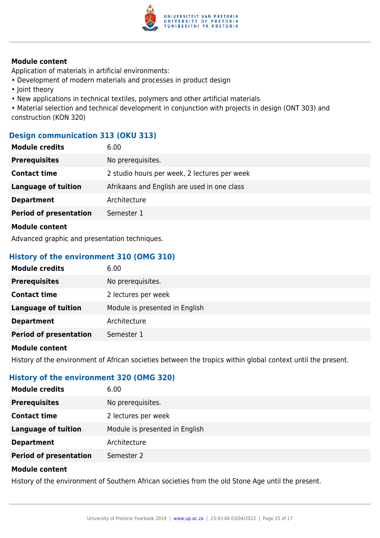

Application of materials in artificial environments:

- Development of modern materials and processes in product design
- Joint theory
- New applications in technical textiles, polymers and other artificial materials

• Material selection and technical development in conjunction with projects in design (ONT 303) and construction (KON 320)

# **Design communication 313 (OKU 313)**

| <b>Module credits</b>         | 6.00                                         |
|-------------------------------|----------------------------------------------|
| <b>Prerequisites</b>          | No prerequisites.                            |
| <b>Contact time</b>           | 2 studio hours per week, 2 lectures per week |
| <b>Language of tuition</b>    | Afrikaans and English are used in one class  |
| <b>Department</b>             | Architecture                                 |
| <b>Period of presentation</b> | Semester 1                                   |
| <b>Module content</b>         |                                              |

Advanced graphic and presentation techniques.

# **History of the environment 310 (OMG 310)**

| <b>Module credits</b>         | 6.00                           |
|-------------------------------|--------------------------------|
| <b>Prerequisites</b>          | No prerequisites.              |
| <b>Contact time</b>           | 2 lectures per week            |
| <b>Language of tuition</b>    | Module is presented in English |
| <b>Department</b>             | Architecture                   |
| <b>Period of presentation</b> | Semester 1                     |

#### **Module content**

History of the environment of African societies between the tropics within global context until the present.

# **History of the environment 320 (OMG 320)**

| <b>Module credits</b>         | 6.00                           |
|-------------------------------|--------------------------------|
| <b>Prerequisites</b>          | No prerequisites.              |
| <b>Contact time</b>           | 2 lectures per week            |
| <b>Language of tuition</b>    | Module is presented in English |
| <b>Department</b>             | Architecture                   |
| <b>Period of presentation</b> | Semester 2                     |

#### **Module content**

History of the environment of Southern African societies from the old Stone Age until the present.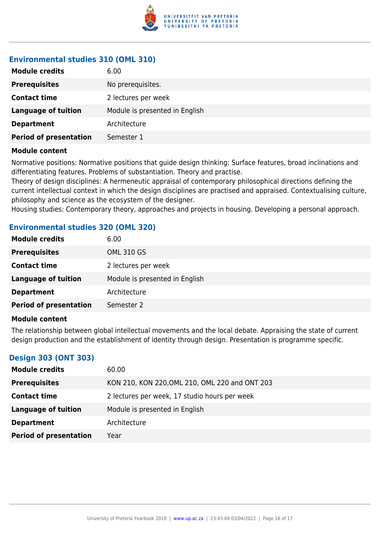

### **Environmental studies 310 (OML 310)**

| <b>Module credits</b>         | 6.00                           |
|-------------------------------|--------------------------------|
| <b>Prerequisites</b>          | No prerequisites.              |
| <b>Contact time</b>           | 2 lectures per week            |
| <b>Language of tuition</b>    | Module is presented in English |
| <b>Department</b>             | Architecture                   |
| <b>Period of presentation</b> | Semester 1                     |

#### **Module content**

Normative positions: Normative positions that guide design thinking: Surface features, broad inclinations and differentiating features. Problems of substantiation. Theory and practise.

Theory of design disciplines: A hermeneutic appraisal of contemporary philosophical directions defining the current intellectual context in which the design disciplines are practised and appraised. Contextualising culture, philosophy and science as the ecosystem of the designer.

Housing studies: Contemporary theory, approaches and projects in housing. Developing a personal approach.

#### **Environmental studies 320 (OML 320)**

| <b>Module credits</b>         | 6.00                           |
|-------------------------------|--------------------------------|
| <b>Prerequisites</b>          | <b>OML 310 GS</b>              |
| <b>Contact time</b>           | 2 lectures per week            |
| <b>Language of tuition</b>    | Module is presented in English |
| <b>Department</b>             | Architecture                   |
| <b>Period of presentation</b> | Semester 2                     |

#### **Module content**

The relationship between global intellectual movements and the local debate. Appraising the state of current design production and the establishment of identity through design. Presentation is programme specific.

# **Design 303 (ONT 303)**

| <b>Module credits</b>         | 60.00                                          |
|-------------------------------|------------------------------------------------|
| <b>Prerequisites</b>          | KON 210, KON 220, OML 210, OML 220 and ONT 203 |
| <b>Contact time</b>           | 2 lectures per week, 17 studio hours per week  |
| Language of tuition           | Module is presented in English                 |
| <b>Department</b>             | Architecture                                   |
| <b>Period of presentation</b> | Year                                           |